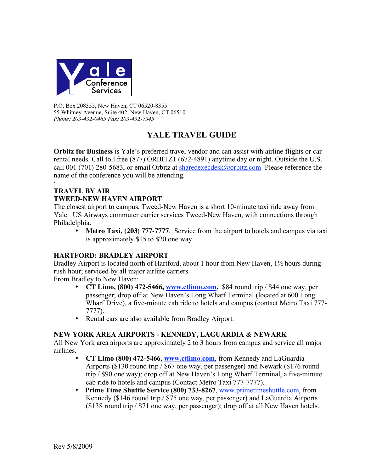

P.O. Box 208355, New Haven, CT 06520-8355 55 Whitney Avenue, Suite 402, New Haven, CT 06510 *Phone: 203-432-0465 Fax: 203-432-7345*

# **YALE TRAVEL GUIDE**

**Orbitz for Business** is Yale's preferred travel vendor and can assist with airline flights or car rental needs. Call toll free (877) ORBITZ1 (672-4891) anytime day or night. Outside the U.S. call 001 (701) 280-5683, or email Orbitz at  $\frac{\text{sharedexee} \cdot \text{ch}(\partial \text{orbit} \cdot \text{com})}{\text{Please reference the}}$ name of the conference you will be attending.

#### : **TRAVEL BY AIR TWEED-NEW HAVEN AIRPORT**

The closest airport to campus, Tweed-New Haven is a short 10-minute taxi ride away from Yale. US Airways commuter carrier services Tweed-New Haven, with connections through Philadelphia.

• **Metro Taxi, (203) 777-7777**. Service from the airport to hotels and campus via taxi is approximately \$15 to \$20 one way.

#### **HARTFORD: BRADLEY AIRPORT**

Bradley Airport is located north of Hartford, about 1 hour from New Haven, 1½ hours during rush hour; serviced by all major airline carriers.

From Bradley to New Haven:

- **CT Limo, (800) 472-5466, www.ctlimo.com,** \$84 round trip / \$44 one way, per passenger; drop off at New Haven's Long Wharf Terminal (located at 600 Long Wharf Drive), a five-minute cab ride to hotels and campus (contact Metro Taxi 777- 7777).
- Rental cars are also available from Bradley Airport.

# **NEW YORK AREA AIRPORTS - KENNEDY, LAGUARDIA & NEWARK**

All New York area airports are approximately 2 to 3 hours from campus and service all major airlines.

- **CT Limo (800) 472-5466, www.ctlimo.com**, from Kennedy and LaGuardia Airports (\$130 round trip / \$67 one way, per passenger) and Newark (\$176 round trip / \$90 one way); drop off at New Haven's Long Wharf Terminal, a five-minute cab ride to hotels and campus (Contact Metro Taxi 777-7777).
- **Prime Time Shuttle Service (800) 733-8267**, www.primetimeshuttle.com, from Kennedy (\$146 round trip / \$75 one way, per passenger) and LaGuardia Airports (\$138 round trip / \$71 one way, per passenger); drop off at all New Haven hotels.